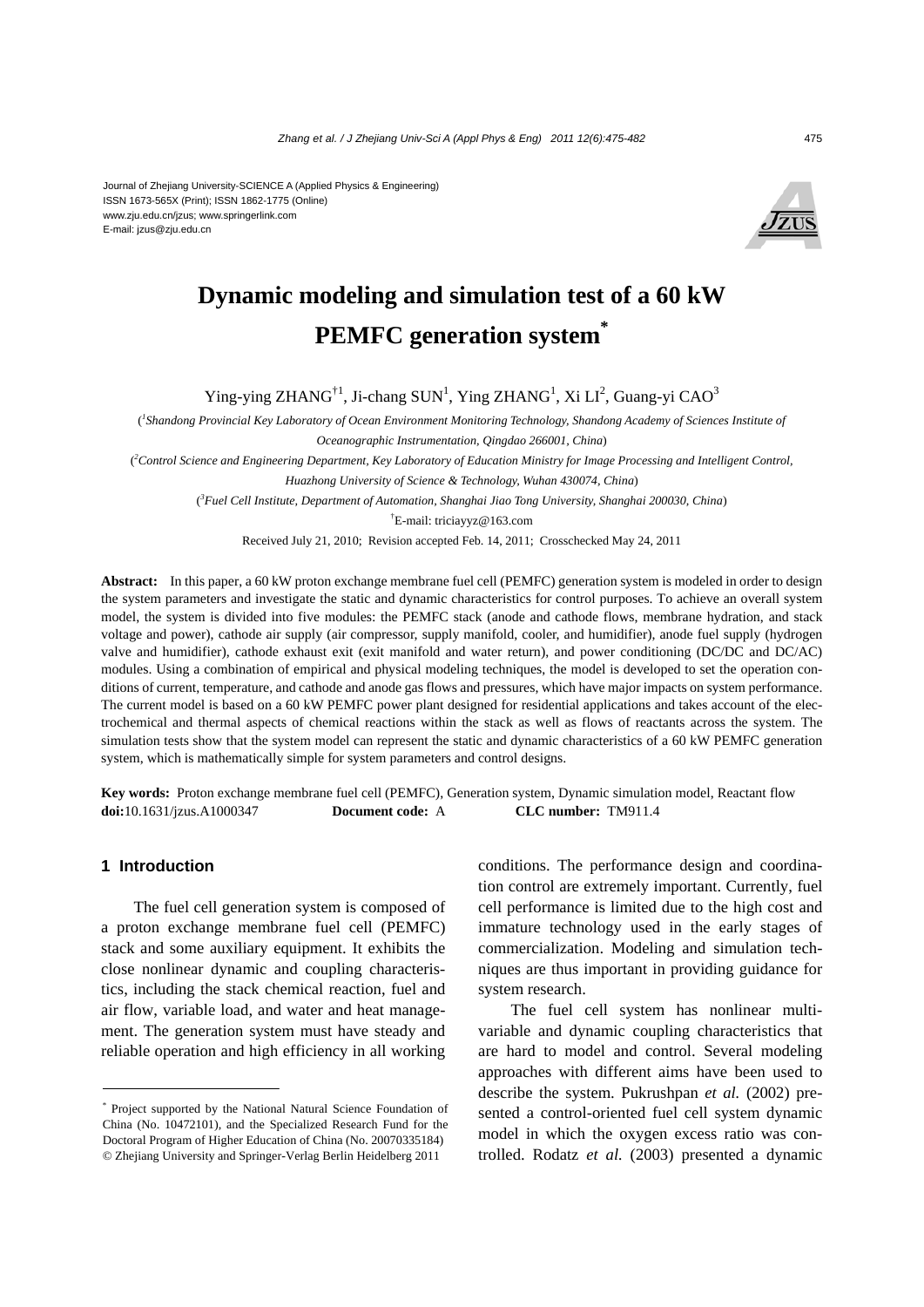

# **Dynamic modeling and simulation test of a 60 kW PEMFC** generation system<sup>\*</sup>

Ying-ying ZHANG<sup>†1</sup>, Ji-chang SUN<sup>1</sup>, Ying ZHANG<sup>1</sup>, Xi LI<sup>2</sup>, Guang-yi CAO<sup>3</sup>

( *1 Shandong Provincial Key Laboratory of Ocean Environment Monitoring Technology, Shandong Academy of Sciences Institute of Oceanographic Instrumentation, Qingdao 266001, China*)

( *2 Control Science and Engineering Department, Key Laboratory of Education Ministry for Image Processing and Intelligent Control,* 

*Huazhong University of Science & Technology, Wuhan 430074, China*)

( *3 Fuel Cell Institute, Department of Automation, Shanghai Jiao Tong University, Shanghai 200030, China*)

† E-mail: triciayyz@163.com

Received July 21, 2010; Revision accepted Feb. 14, 2011; Crosschecked May 24, 2011

**Abstract:** In this paper, a 60 kW proton exchange membrane fuel cell (PEMFC) generation system is modeled in order to design the system parameters and investigate the static and dynamic characteristics for control purposes. To achieve an overall system model, the system is divided into five modules: the PEMFC stack (anode and cathode flows, membrane hydration, and stack voltage and power), cathode air supply (air compressor, supply manifold, cooler, and humidifier), anode fuel supply (hydrogen valve and humidifier), cathode exhaust exit (exit manifold and water return), and power conditioning (DC/DC and DC/AC) modules. Using a combination of empirical and physical modeling techniques, the model is developed to set the operation conditions of current, temperature, and cathode and anode gas flows and pressures, which have major impacts on system performance. The current model is based on a 60 kW PEMFC power plant designed for residential applications and takes account of the electrochemical and thermal aspects of chemical reactions within the stack as well as flows of reactants across the system. The simulation tests show that the system model can represent the static and dynamic characteristics of a 60 kW PEMFC generation system, which is mathematically simple for system parameters and control designs.

**Key words:** Proton exchange membrane fuel cell (PEMFC), Generation system, Dynamic simulation model, Reactant flow **doi:**10.1631/jzus.A1000347 **Document code:** A **CLC number:** TM911.4

# **1 Introduction**

The fuel cell generation system is composed of a proton exchange membrane fuel cell (PEMFC) stack and some auxiliary equipment. It exhibits the close nonlinear dynamic and coupling characteristics, including the stack chemical reaction, fuel and air flow, variable load, and water and heat management. The generation system must have steady and reliable operation and high efficiency in all working conditions. The performance design and coordination control are extremely important. Currently, fuel cell performance is limited due to the high cost and immature technology used in the early stages of commercialization. Modeling and simulation techniques are thus important in providing guidance for system research.

The fuel cell system has nonlinear multivariable and dynamic coupling characteristics that are hard to model and control. Several modeling approaches with different aims have been used to describe the system. Pukrushpan *et al.* (2002) presented a control-oriented fuel cell system dynamic model in which the oxygen excess ratio was controlled. Rodatz *et al.* (2003) presented a dynamic

<sup>\*</sup> Project supported by the National Natural Science Foundation of China (No. 10472101), and the Specialized Research Fund for the Doctoral Program of Higher Education of China (No. 20070335184) © Zhejiang University and Springer-Verlag Berlin Heidelberg 2011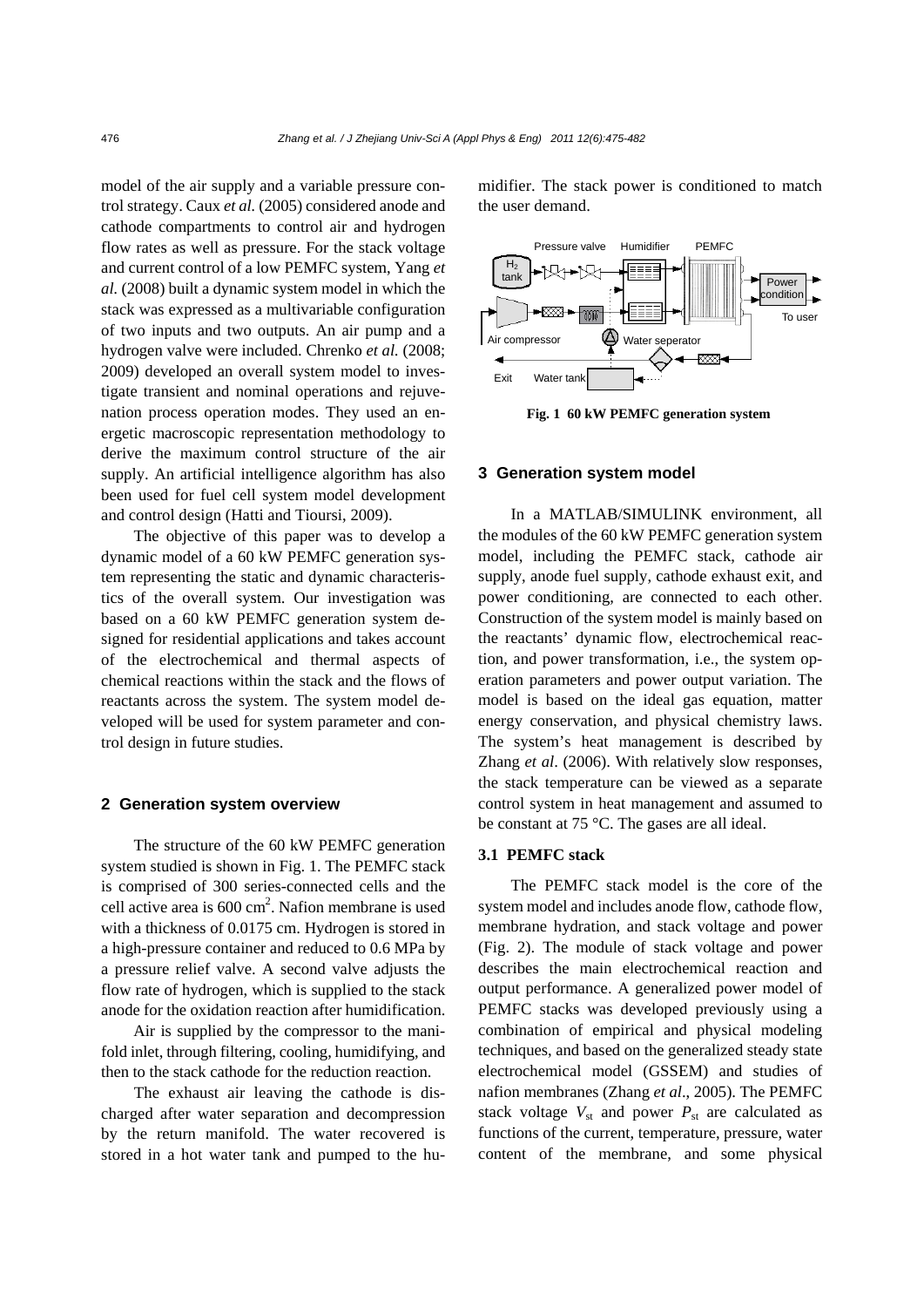model of the air supply and a variable pressure control strategy. Caux *et al.* (2005) considered anode and cathode compartments to control air and hydrogen flow rates as well as pressure. For the stack voltage and current control of a low PEMFC system, Yang *et al.* (2008) built a dynamic system model in which the stack was expressed as a multivariable configuration of two inputs and two outputs. An air pump and a hydrogen valve were included. Chrenko *et al.* (2008; 2009) developed an overall system model to investigate transient and nominal operations and rejuvenation process operation modes. They used an energetic macroscopic representation methodology to derive the maximum control structure of the air supply. An artificial intelligence algorithm has also been used for fuel cell system model development and control design (Hatti and Tioursi, 2009).

The objective of this paper was to develop a dynamic model of a 60 kW PEMFC generation system representing the static and dynamic characteristics of the overall system. Our investigation was based on a 60 kW PEMFC generation system designed for residential applications and takes account of the electrochemical and thermal aspects of chemical reactions within the stack and the flows of reactants across the system. The system model developed will be used for system parameter and control design in future studies.

## **2 Generation system overview**

The structure of the 60 kW PEMFC generation system studied is shown in Fig. 1. The PEMFC stack is comprised of 300 series-connected cells and the cell active area is  $600 \text{ cm}^2$ . Nafion membrane is used with a thickness of 0.0175 cm. Hydrogen is stored in a high-pressure container and reduced to 0.6 MPa by a pressure relief valve. A second valve adjusts the flow rate of hydrogen, which is supplied to the stack anode for the oxidation reaction after humidification.

Air is supplied by the compressor to the manifold inlet, through filtering, cooling, humidifying, and then to the stack cathode for the reduction reaction.

The exhaust air leaving the cathode is discharged after water separation and decompression by the return manifold. The water recovered is stored in a hot water tank and pumped to the humidifier. The stack power is conditioned to match the user demand.



**Fig. 1 60 kW PEMFC generation system**

# **3 Generation system model**

In a MATLAB/SIMULINK environment, all the modules of the 60 kW PEMFC generation system model, including the PEMFC stack, cathode air supply, anode fuel supply, cathode exhaust exit, and power conditioning, are connected to each other. Construction of the system model is mainly based on the reactants' dynamic flow, electrochemical reaction, and power transformation, i.e., the system operation parameters and power output variation. The model is based on the ideal gas equation, matter energy conservation, and physical chemistry laws. The system's heat management is described by Zhang *et al*. (2006). With relatively slow responses, the stack temperature can be viewed as a separate control system in heat management and assumed to be constant at 75 °C. The gases are all ideal.

# **3.1 PEMFC stack**

The PEMFC stack model is the core of the system model and includes anode flow, cathode flow, membrane hydration, and stack voltage and power (Fig. 2). The module of stack voltage and power describes the main electrochemical reaction and output performance. A generalized power model of PEMFC stacks was developed previously using a combination of empirical and physical modeling techniques, and based on the generalized steady state electrochemical model (GSSEM) and studies of nafion membranes (Zhang *et al*., 2005). The PEMFC stack voltage  $V_{st}$  and power  $P_{st}$  are calculated as functions of the current, temperature, pressure, water content of the membrane, and some physical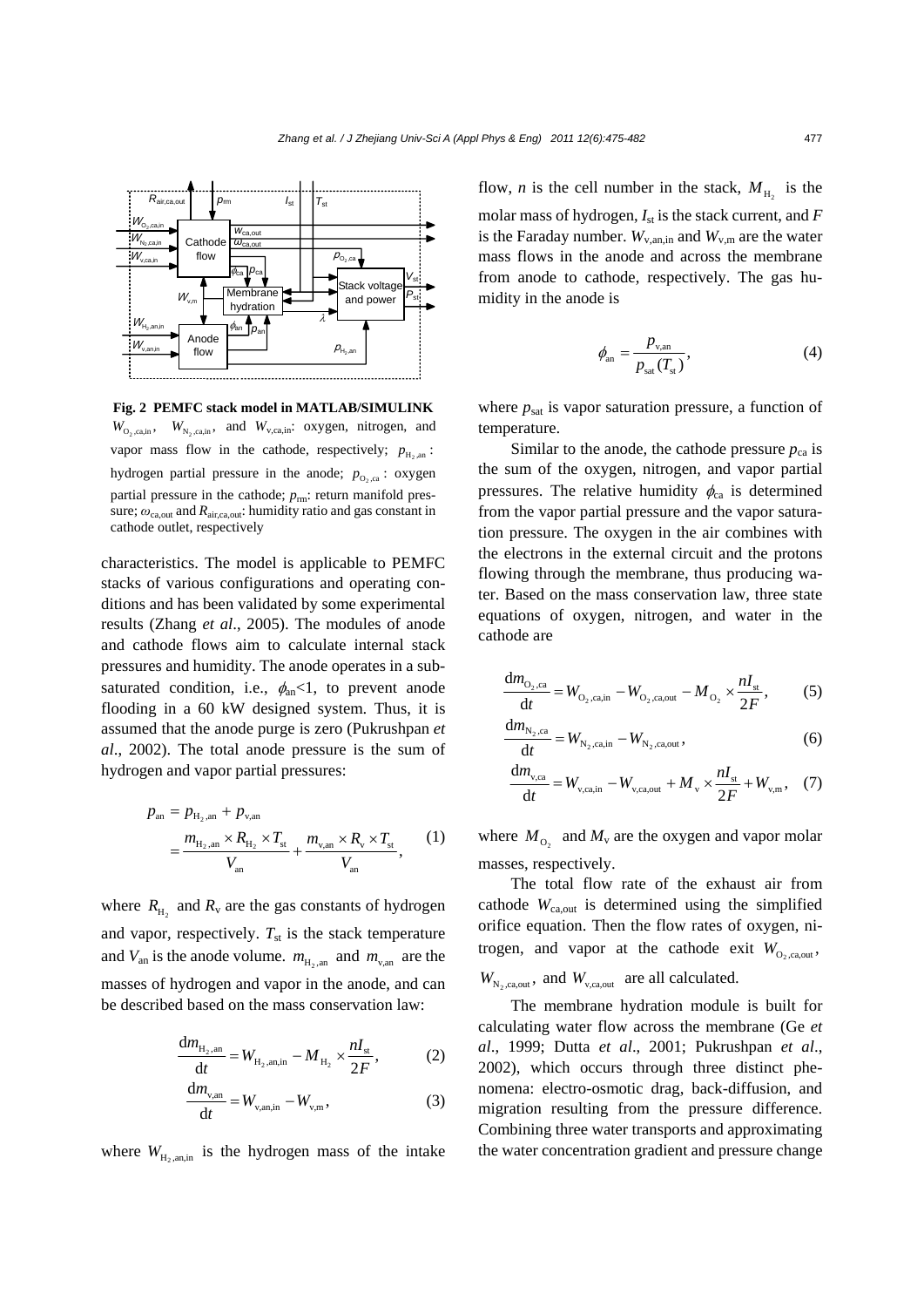

**Fig. 2 PEMFC stack model in MATLAB/SIMULINK**  $W_{\text{O}_2, \text{ca,in}}$ ,  $W_{\text{N}_2, \text{ca,in}}$ , and  $W_{\text{v,ca,in}}$ : oxygen, nitrogen, and vapor mass flow in the cathode, respectively;  $p_{\text{H}_2, \text{an}}$ : hydrogen partial pressure in the anode;  $p_{O_2,ca}$ : oxygen partial pressure in the cathode;  $p_{\text{rm}}$ : return manifold pressure;  $\omega_{\text{ca,out}}$  and  $R_{\text{air,ca,out}}$ : humidity ratio and gas constant in cathode outlet, respectively

characteristics. The model is applicable to PEMFC stacks of various configurations and operating conditions and has been validated by some experimental results (Zhang *et al*., 2005). The modules of anode and cathode flows aim to calculate internal stack pressures and humidity. The anode operates in a subsaturated condition, i.e.,  $\phi_{an}$ <1, to prevent anode flooding in a 60 kW designed system. Thus, it is assumed that the anode purge is zero (Pukrushpan *et al*., 2002). The total anode pressure is the sum of hydrogen and vapor partial pressures:

$$
p_{an} = p_{H_2,an} + p_{v,an}
$$
  
= 
$$
\frac{m_{H_2,an} \times R_{H_2} \times T_{st}}{V_{an}} + \frac{m_{v,an} \times R_v \times T_{st}}{V_{an}},
$$
 (1)

where  $R_{\text{H}_2}$  and  $R_{\text{v}}$  are the gas constants of hydrogen and vapor, respectively.  $T_{st}$  is the stack temperature and  $V_{\text{an}}$  is the anode volume.  $m_{\text{H}_{\text{b,an}}}$  and  $m_{\text{v,an}}$  are the masses of hydrogen and vapor in the anode, and can be described based on the mass conservation law:

$$
\frac{dm_{H_2,an}}{dt} = W_{H_2,an,in} - M_{H_2} \times \frac{nI_{st}}{2F},
$$
 (2)

$$
\frac{\mathrm{d}m_{\mathrm{v,an}}}{\mathrm{d}t} = W_{\mathrm{v,an,in}} - W_{\mathrm{v,m}},\tag{3}
$$

where  $W_{H_2,n}$  is the hydrogen mass of the intake

flow, *n* is the cell number in the stack,  $M_{\text{H}_2}$  is the molar mass of hydrogen,  $I_{st}$  is the stack current, and  $F$ is the Faraday number.  $W_{v,an,in}$  and  $W_{v,m}$  are the water mass flows in the anode and across the membrane from anode to cathode, respectively. The gas humidity in the anode is

$$
\phi_{\rm an} = \frac{p_{\rm v, an}}{p_{\rm sat}(T_{\rm st})},
$$
\n(4)

where  $p_{\text{sat}}$  is vapor saturation pressure, a function of temperature.

Similar to the anode, the cathode pressure  $p_{ca}$  is the sum of the oxygen, nitrogen, and vapor partial pressures. The relative humidity  $\phi_{ca}$  is determined from the vapor partial pressure and the vapor saturation pressure. The oxygen in the air combines with the electrons in the external circuit and the protons flowing through the membrane, thus producing water. Based on the mass conservation law, three state equations of oxygen, nitrogen, and water in the cathode are

$$
\frac{dm_{\text{O}_2,\text{ca}}}{dt} = W_{\text{O}_2,\text{ca,in}} - W_{\text{O}_2,\text{ca,out}} - M_{\text{O}_2} \times \frac{nI_{\text{st}}}{2F},\tag{5}
$$

$$
\frac{dm_{N_2, ca}}{dt} = W_{N_2, ca, in} - W_{N_2, ca, out},
$$
\n(6)

$$
\frac{\mathrm{d}m_{\mathrm{v,ca}}}{\mathrm{d}t} = W_{\mathrm{v,ca,in}} - W_{\mathrm{v,ca,out}} + M_{\mathrm{v}} \times \frac{nI_{\mathrm{st}}}{2F} + W_{\mathrm{v,m}}, \quad (7)
$$

where  $M_{\text{o}}$  and  $M_{\text{v}}$  are the oxygen and vapor molar masses, respectively.

The total flow rate of the exhaust air from cathode *W*ca,out is determined using the simplified orifice equation. Then the flow rates of oxygen, nitrogen, and vapor at the cathode exit  $W_{O_2, \text{ca,out}}$ ,

 $W_{\text{N}_2, \text{ca,out}}$ , and  $W_{\text{v,ca,out}}$  are all calculated.

The membrane hydration module is built for calculating water flow across the membrane (Ge *et al*., 1999; Dutta *et al*., 2001; Pukrushpan *et al*., 2002), which occurs through three distinct phenomena: electro-osmotic drag, back-diffusion, and migration resulting from the pressure difference. Combining three water transports and approximating the water concentration gradient and pressure change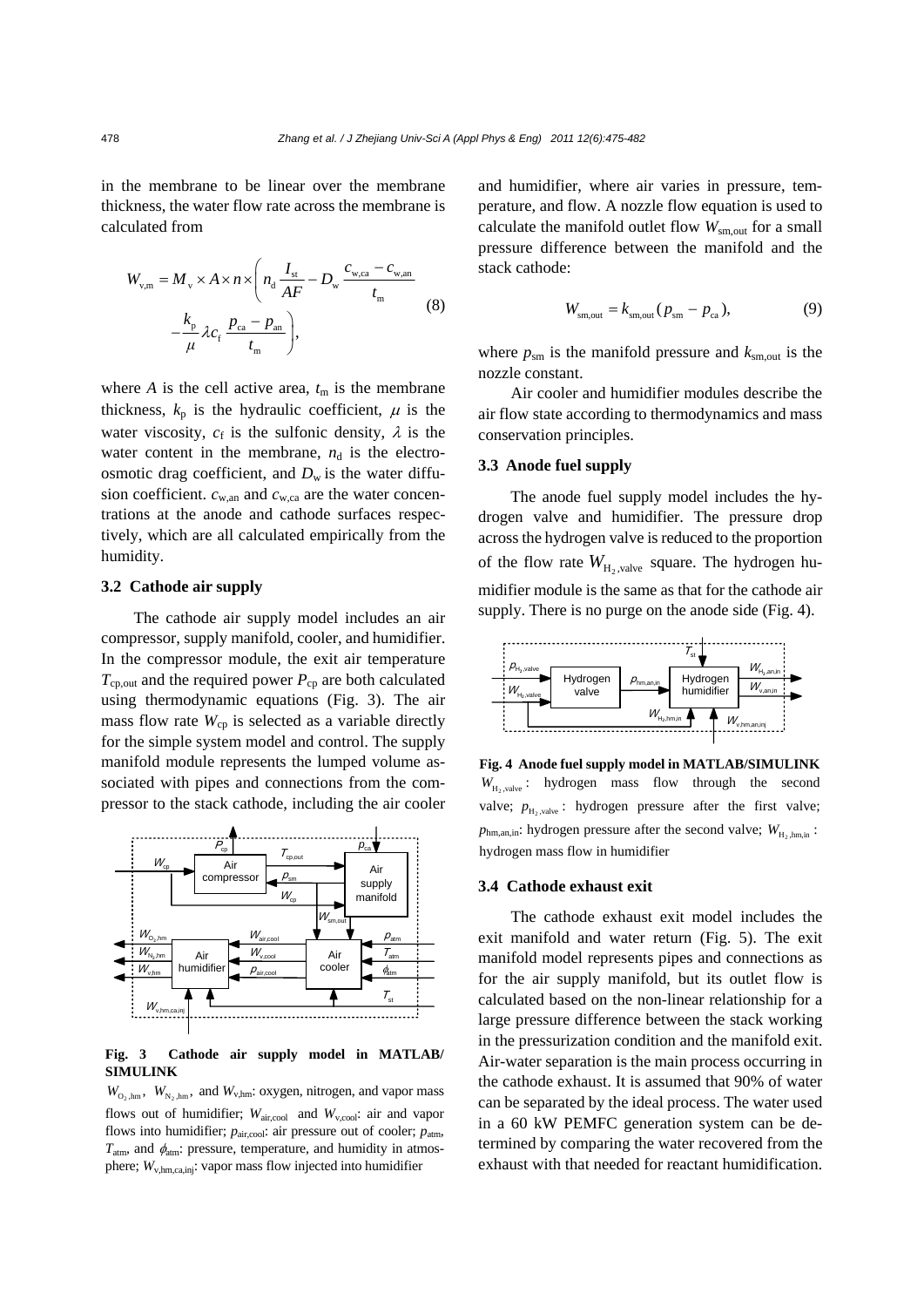in the membrane to be linear over the membrane thickness, the water flow rate across the membrane is calculated from

$$
W_{v,m} = M_v \times A \times n \times \left( n_d \frac{I_{st}}{AF} - D_w \frac{c_{w,ca} - c_{w,am}}{t_m} - \frac{k_p}{\mu} \lambda c_f \frac{p_{ca} - p_{an}}{t_m} \right),
$$
 (8)

where *A* is the cell active area,  $t_m$  is the membrane thickness,  $k_p$  is the hydraulic coefficient,  $\mu$  is the water viscosity,  $c_f$  is the sulfonic density,  $\lambda$  is the water content in the membrane,  $n_d$  is the electroosmotic drag coefficient, and  $D_w$  is the water diffusion coefficient.  $c_{w,an}$  and  $c_{w,ca}$  are the water concentrations at the anode and cathode surfaces respectively, which are all calculated empirically from the humidity.

## **3.2 Cathode air supply**

The cathode air supply model includes an air compressor, supply manifold, cooler, and humidifier. In the compressor module, the exit air temperature  $T_{cp,out}$  and the required power  $P_{cp}$  are both calculated using thermodynamic equations (Fig. 3). The air mass flow rate  $W_{cp}$  is selected as a variable directly for the simple system model and control. The supply manifold module represents the lumped volume associated with pipes and connections from the compressor to the stack cathode, including the air cooler



**Fig. 3 Cathode air supply model in MATLAB/ SIMULINK** 

 $W_{\text{O}_2,hm}$ ,  $W_{\text{N}_2,hm}$ , and  $W_{\text{v,hm}}$ : oxygen, nitrogen, and vapor mass flows out of humidifier;  $W_{\text{air,cool}}$  and  $W_{\text{v,cool}}$ : air and vapor flows into humidifier;  $p_{\text{air,cool}}$ : air pressure out of cooler;  $p_{\text{atm}}$ ,  $T_{\text{atm}}$ , and  $\phi_{\text{atm}}$ : pressure, temperature, and humidity in atmosphere;  $W_{v,hm,ca,ini}$ : vapor mass flow injected into humidifier

and humidifier, where air varies in pressure, temperature, and flow. A nozzle flow equation is used to calculate the manifold outlet flow *W*sm,out for a small pressure difference between the manifold and the stack cathode:

$$
W_{\rm sm,out} = k_{\rm sm,out} (p_{\rm sm} - p_{\rm ca}), \tag{9}
$$

where  $p_{\rm sm}$  is the manifold pressure and  $k_{\rm sm,out}$  is the nozzle constant.

Air cooler and humidifier modules describe the air flow state according to thermodynamics and mass conservation principles.

# **3.3 Anode fuel supply**

The anode fuel supply model includes the hydrogen valve and humidifier. The pressure drop across the hydrogen valve is reduced to the proportion of the flow rate  $W_{H_2, \text{value}}$  square. The hydrogen humidifier module is the same as that for the cathode air supply. There is no purge on the anode side (Fig. 4).



**Fig. 4 Anode fuel supply model in MATLAB/SIMULINK**  $W_{\text{H}_2,\text{value}}$ : hydrogen mass flow through the second valve;  $p_{\text{H}_2,\text{value}}$ : hydrogen pressure after the first valve;  $p_{hm,an,in}$ : hydrogen pressure after the second valve;  $W_{H_0,hm,in}$ : hydrogen mass flow in humidifier

#### **3.4 Cathode exhaust exit**

The cathode exhaust exit model includes the exit manifold and water return (Fig. 5). The exit manifold model represents pipes and connections as for the air supply manifold, but its outlet flow is calculated based on the non-linear relationship for a large pressure difference between the stack working in the pressurization condition and the manifold exit. Air-water separation is the main process occurring in the cathode exhaust. It is assumed that 90% of water can be separated by the ideal process. The water used in a 60 kW PEMFC generation system can be determined by comparing the water recovered from the exhaust with that needed for reactant humidification.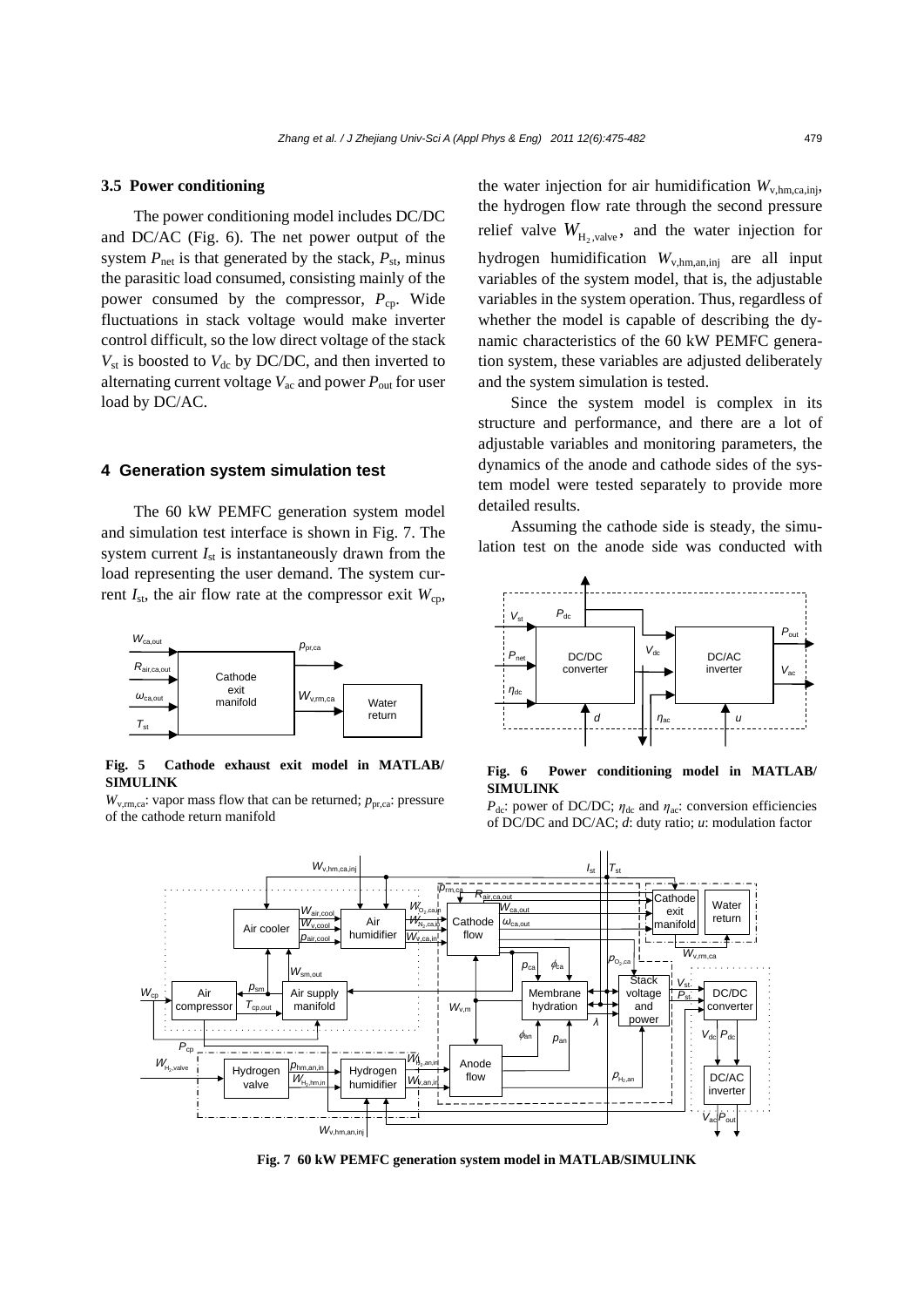# **3.5 Power conditioning**

The power conditioning model includes DC/DC and DC/AC (Fig. 6). The net power output of the system  $P_{\text{net}}$  is that generated by the stack,  $P_{\text{st}}$ , minus the parasitic load consumed, consisting mainly of the power consumed by the compressor,  $P_{\rm cp}$ . Wide fluctuations in stack voltage would make inverter control difficult, so the low direct voltage of the stack  $V_{st}$  is boosted to  $V_{dc}$  by DC/DC, and then inverted to alternating current voltage  $V_{ac}$  and power  $P_{out}$  for user load by DC/AC.

# **4 Generation system simulation test**

The 60 kW PEMFC generation system model and simulation test interface is shown in Fig. 7. The system current  $I_{st}$  is instantaneously drawn from the load representing the user demand. The system current  $I_{\rm st}$ , the air flow rate at the compressor exit  $W_{\rm cp}$ ,



#### **Fig. 5 Cathode exhaust exit model in MATLAB/ SIMULINK**

 $W_{v,\text{rm,ca}}$ : vapor mass flow that can be returned;  $p_{\text{prime}}$ : pressure of the cathode return manifold

the water injection for air humidification  $W_{v,hm,ca,inj}$ , the hydrogen flow rate through the second pressure relief valve  $W_{H_2, \text{value}}$ , and the water injection for hydrogen humidification *W*v,hm,an,inj are all input variables of the system model, that is, the adjustable variables in the system operation. Thus, regardless of whether the model is capable of describing the dynamic characteristics of the 60 kW PEMFC generation system, these variables are adjusted deliberately and the system simulation is tested.

Since the system model is complex in its structure and performance, and there are a lot of adjustable variables and monitoring parameters, the dynamics of the anode and cathode sides of the system model were tested separately to provide more detailed results.

Assuming the cathode side is steady, the simulation test on the anode side was conducted with



**Fig. 6 Power conditioning model in MATLAB/ SIMULINK** 

*P*<sub>dc</sub>: power of DC/DC;  $\eta_{dc}$  and  $\eta_{ac}$ : conversion efficiencies of DC/DC and DC/AC; *d*: duty ratio; *u*: modulation factor



**Fig. 7 60 kW PEMFC generation system model in MATLAB/SIMULINK**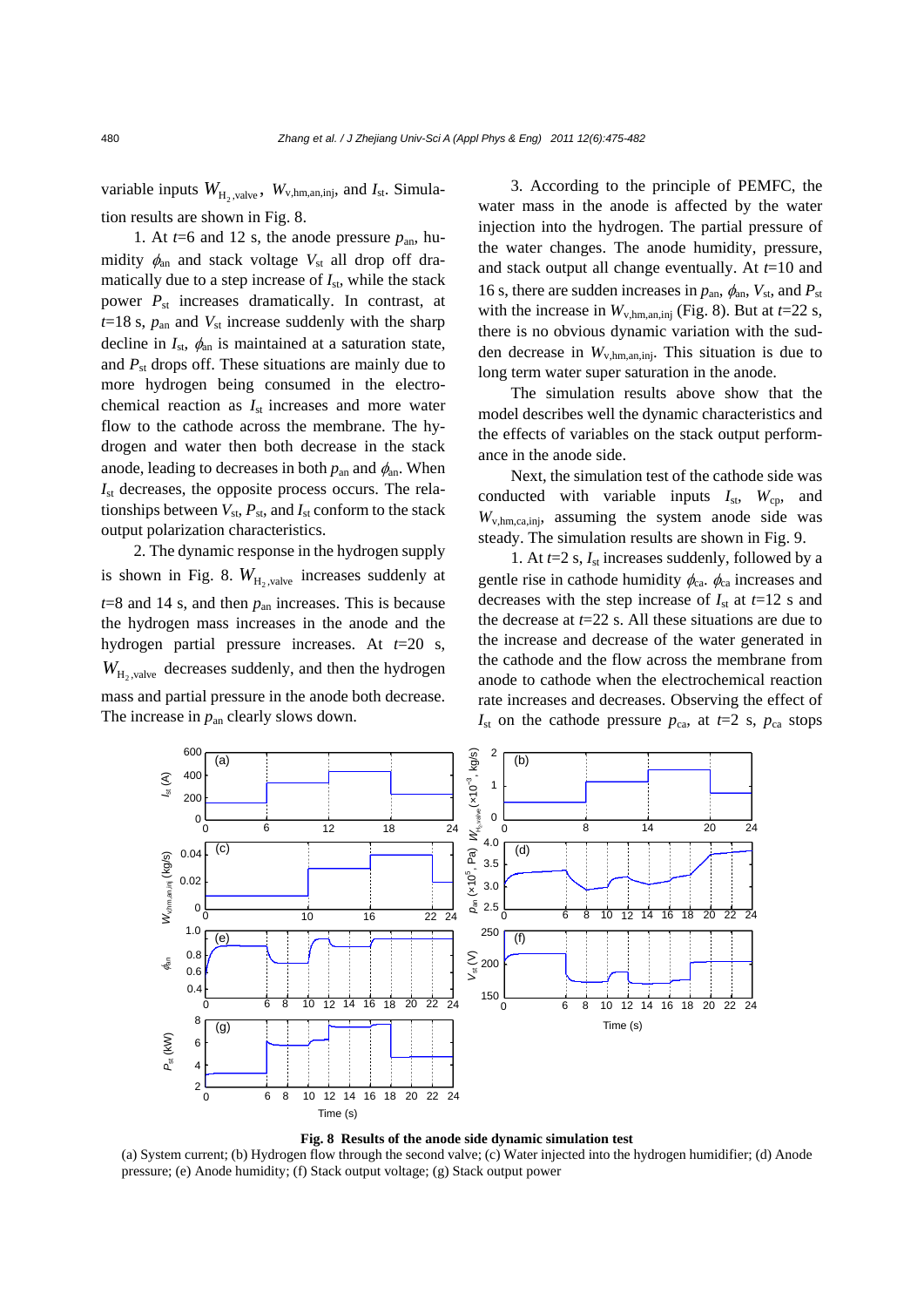variable inputs  $W_{\text{H}_2,\text{value}}$ ,  $W_{\text{v,hm,an,inj}}$ , and  $I_{\text{st}}$ . Simulation results are shown in Fig. 8.

1. At  $t=6$  and 12 s, the anode pressure  $p_{an}$ , humidity  $\phi_{an}$  and stack voltage  $V_{st}$  all drop off dramatically due to a step increase of  $I_{st}$ , while the stack power  $P_{st}$  increases dramatically. In contrast, at  $t=18$  s,  $p_{an}$  and  $V_{st}$  increase suddenly with the sharp decline in  $I_{\rm st}$ ,  $\phi_{\rm an}$  is maintained at a saturation state, and  $P_{st}$  drops off. These situations are mainly due to more hydrogen being consumed in the electrochemical reaction as *I*st increases and more water flow to the cathode across the membrane. The hydrogen and water then both decrease in the stack anode, leading to decreases in both  $p_{an}$  and  $\phi_{an}$ . When *I*st decreases, the opposite process occurs. The relationships between  $V_{\text{st}}$ ,  $P_{\text{st}}$ , and  $I_{\text{st}}$  conform to the stack output polarization characteristics.

2. The dynamic response in the hydrogen supply is shown in Fig. 8.  $W_{H_0, \text{value}}$  increases suddenly at  $t=8$  and 14 s, and then  $p_{an}$  increases. This is because the hydrogen mass increases in the anode and the hydrogen partial pressure increases. At *t*=20 s,  $W_{\text{H}_2,\text{value}}$  decreases suddenly, and then the hydrogen mass and partial pressure in the anode both decrease. The increase in  $p_{an}$  clearly slows down.

3. According to the principle of PEMFC, the water mass in the anode is affected by the water injection into the hydrogen. The partial pressure of the water changes. The anode humidity, pressure, and stack output all change eventually. At *t*=10 and 16 s, there are sudden increases in  $p_{an}$ ,  $\phi_{an}$ ,  $V_{st}$ , and  $P_{st}$ with the increase in  $W_{v,hm,an,ini}$  (Fig. 8). But at  $t=22$  s, there is no obvious dynamic variation with the sudden decrease in  $W_{v,hm,an,inj}$ . This situation is due to long term water super saturation in the anode.

The simulation results above show that the model describes well the dynamic characteristics and the effects of variables on the stack output performance in the anode side.

Next, the simulation test of the cathode side was conducted with variable inputs  $I_{st}$ ,  $W_{cp}$ , and *W*v,hm,ca,inj, assuming the system anode side was steady. The simulation results are shown in Fig. 9.

1. At  $t=2$  s,  $I_{st}$  increases suddenly, followed by a gentle rise in cathode humidity  $\phi_{ca}$ .  $\phi_{ca}$  increases and decreases with the step increase of  $I_{st}$  at  $t=12$  s and the decrease at *t*=22 s. All these situations are due to the increase and decrease of the water generated in the cathode and the flow across the membrane from anode to cathode when the electrochemical reaction rate increases and decreases. Observing the effect of  $I_{st}$  on the cathode pressure  $p_{ca}$ , at  $t=2$  s,  $p_{ca}$  stops





(a) System current; (b) Hydrogen flow through the second valve; (c) Water injected into the hydrogen humidifier; (d) Anode pressure; (e) Anode humidity; (f) Stack output voltage; (g) Stack output power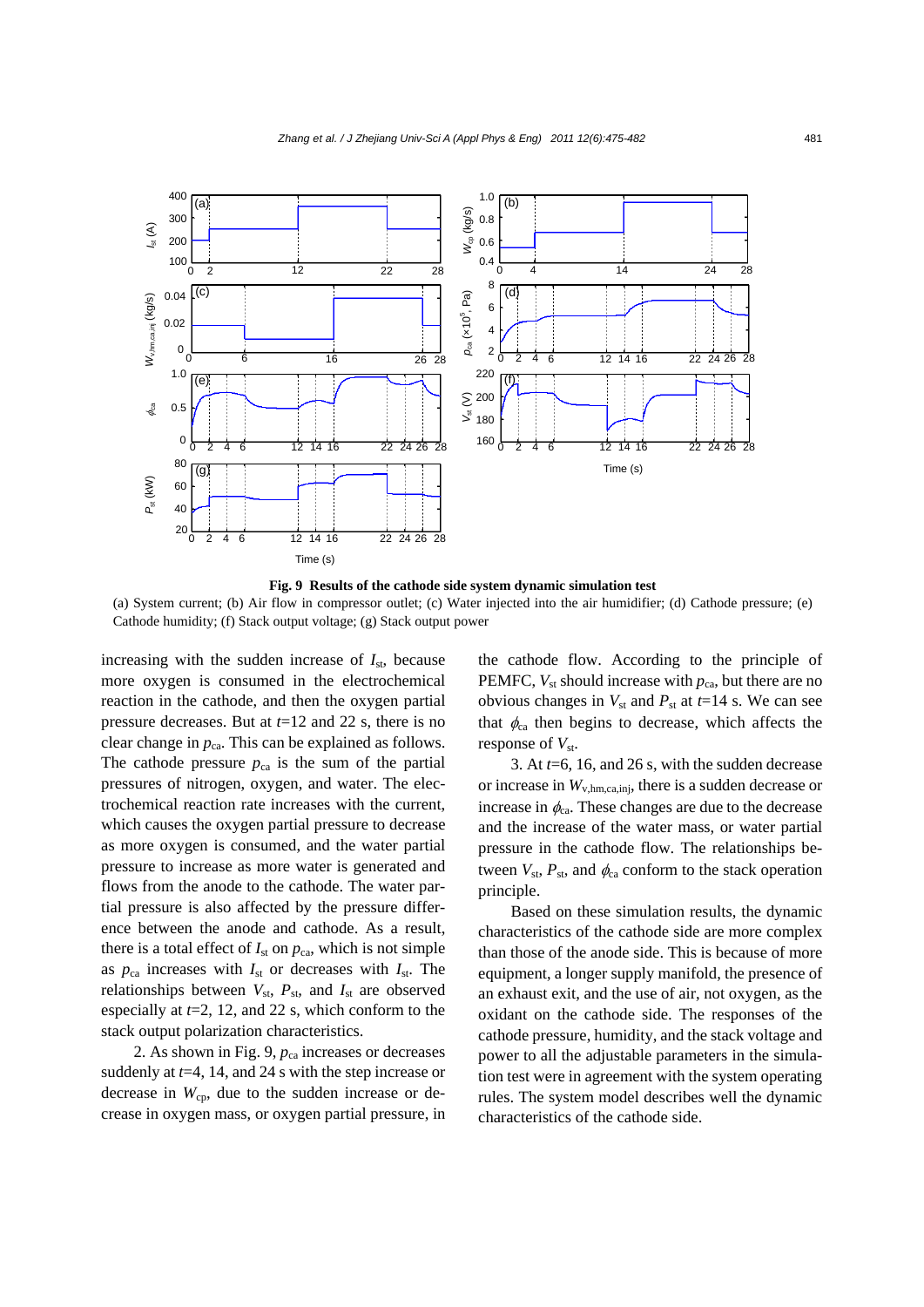

**Fig. 9 Results of the cathode side system dynamic simulation test** 

(a) System current; (b) Air flow in compressor outlet; (c) Water injected into the air humidifier; (d) Cathode pressure; (e) Cathode humidity; (f) Stack output voltage; (g) Stack output power

increasing with the sudden increase of  $I_{\text{st}}$ , because more oxygen is consumed in the electrochemical reaction in the cathode, and then the oxygen partial pressure decreases. But at *t*=12 and 22 s, there is no clear change in  $p_{ca}$ . This can be explained as follows. The cathode pressure  $p_{ca}$  is the sum of the partial pressures of nitrogen, oxygen, and water. The electrochemical reaction rate increases with the current, which causes the oxygen partial pressure to decrease as more oxygen is consumed, and the water partial pressure to increase as more water is generated and flows from the anode to the cathode. The water partial pressure is also affected by the pressure difference between the anode and cathode. As a result, there is a total effect of  $I_{st}$  on  $p_{ca}$ , which is not simple as  $p_{ca}$  increases with  $I_{st}$  or decreases with  $I_{st}$ . The relationships between  $V_{st}$ ,  $P_{st}$ , and  $I_{st}$  are observed especially at *t*=2, 12, and 22 s, which conform to the stack output polarization characteristics.

2. As shown in Fig. 9,  $p_{ca}$  increases or decreases suddenly at *t*=4, 14, and 24 s with the step increase or decrease in  $W_{cp}$ , due to the sudden increase or decrease in oxygen mass, or oxygen partial pressure, in the cathode flow. According to the principle of PEMFC,  $V_{st}$  should increase with  $p_{ca}$ , but there are no obvious changes in  $V_{st}$  and  $P_{st}$  at  $t=14$  s. We can see that  $\phi_{ca}$  then begins to decrease, which affects the response of  $V_{\text{st}}$ .

3. At *t*=6, 16, and 26 s, with the sudden decrease or increase in  $W_{v,hm,ca,inj}$ , there is a sudden decrease or increase in  $\phi_{ca}$ . These changes are due to the decrease and the increase of the water mass, or water partial pressure in the cathode flow. The relationships between  $V_{\text{st}}$ ,  $P_{\text{st}}$ , and  $\phi_{\text{ca}}$  conform to the stack operation principle.

Based on these simulation results, the dynamic characteristics of the cathode side are more complex than those of the anode side. This is because of more equipment, a longer supply manifold, the presence of an exhaust exit, and the use of air, not oxygen, as the oxidant on the cathode side. The responses of the cathode pressure, humidity, and the stack voltage and power to all the adjustable parameters in the simulation test were in agreement with the system operating rules. The system model describes well the dynamic characteristics of the cathode side.